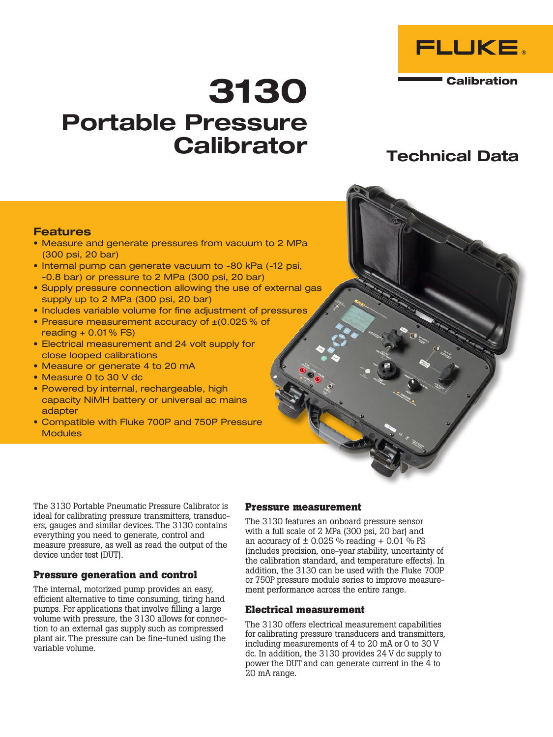

**Calibration** 

# 3130 Portable Pressure **Calibrator**

# Technical Data

#### **Features**

- Measure and generate pressures from vacuum to 2 MPa (300 psi, 20 bar)
- Internal pump can generate vacuum to -80 kPa (-12 psi, -0.8 bar) or pressure to 2 MPa (300 psi, 20 bar)
- Supply pressure connection allowing the use of external gas supply up to 2 MPa (300 psi, 20 bar)
- Includes variable volume for fine adjustment of pressures
- Pressure measurement accuracy of ±(0.025 % of reading + 0.01 % FS)
- Electrical measurement and 24 volt supply for close looped calibrations
- Measure or generate 4 to 20 mA
- Measure 0 to 30 V dc
- Powered by internal, rechargeable, high capacity NiMH battery or universal ac mains adapter
- Compatible with Fluke 700P and 750P Pressure **Modules**

The 3130 Portable Pneumatic Pressure Calibrator is ideal for calibrating pressure transmitters, transducers, gauges and similar devices. The 3130 contains everything you need to generate, control and measure pressure, as well as read the output of the device under test (DUT).

# **Pressure generation and control**

The internal, motorized pump provides an easy, efficient alternative to time consuming, tiring hand pumps. For applications that involve filling a large volume with pressure, the 3130 allows for connection to an external gas supply such as compressed plant air. The pressure can be fine-tuned using the variable volume.

#### **Pressure measurement**

The 3130 features an onboard pressure sensor with a full scale of 2 MPa (300 psi, 20 bar) and an accuracy of  $\pm$  0.025 % reading + 0.01 % FS (includes precision, one-year stability, uncertainty of the calibration standard, and temperature effects). In addition, the 3130 can be used with the Fluke 700P or 750P pressure module series to improve measurement performance across the entire range.

#### **Electrical measurement**

The 3130 offers electrical measurement capabilities for calibrating pressure transducers and transmitters, including measurements of 4 to 20 mA or 0 to 30 V dc. In addition, the 3130 provides 24 V dc supply to power the DUT and can generate current in the 4 to 20 mA range.